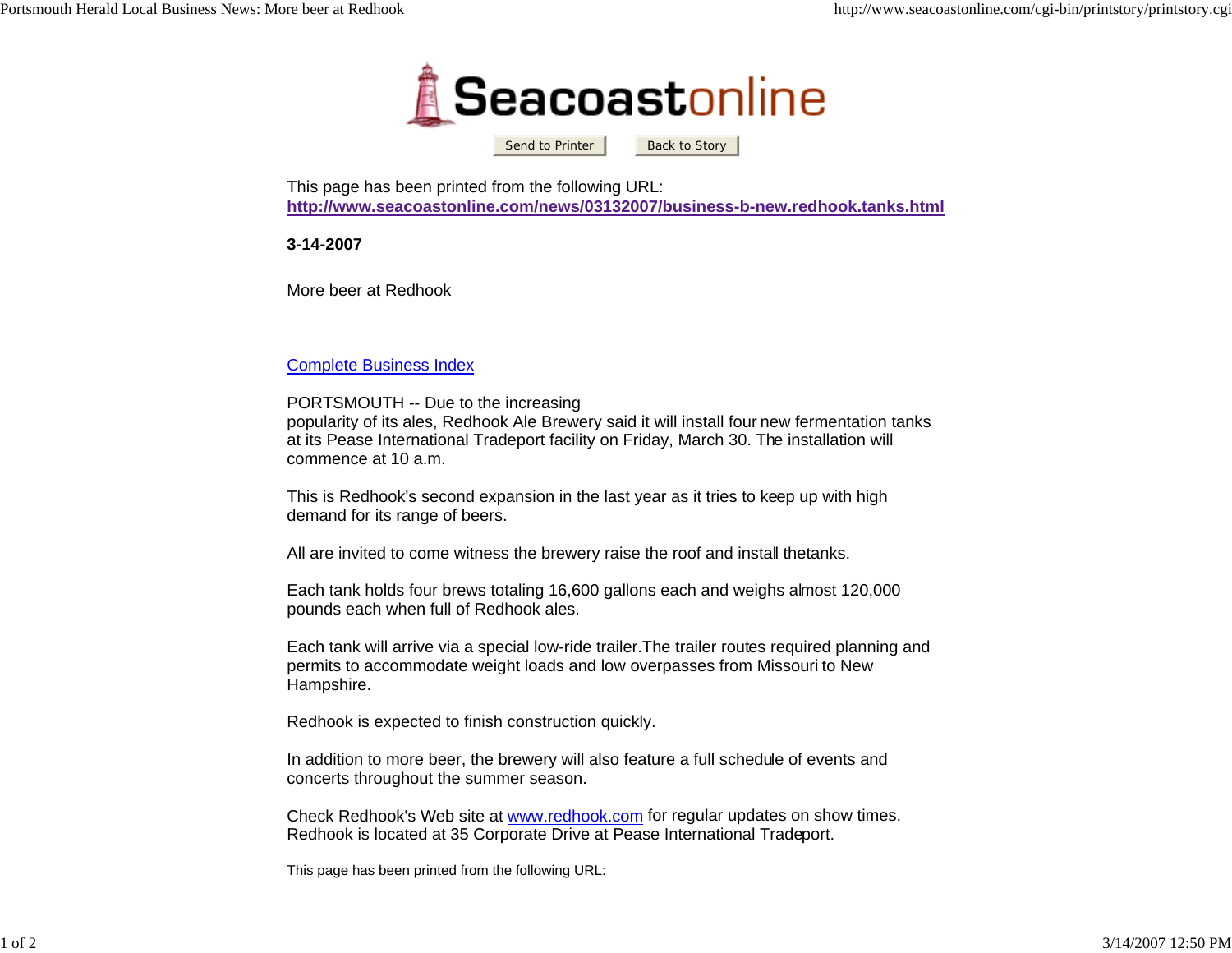

Send to Printer

Back to Story

This page has been printed from the following URL: **http://www.seacoastonline.com/news/03132007/business-b-new.redhook.tanks.html**

**3-14-2007**

More beer at Redhook

## Complete Business Index

## PORTSMOUTH -- Due to the increasing

popularity of its ales, Redhook Ale Brewery said it will install four new fermentation tanks at its Pease International Tradeport facility on Friday, March 30. The installation will commence at 10 a.m.

This is Redhook's second expansion in the last year as it tries to keep up with high demand for its range of beers.

All are invited to come witness the brewery raise the roof and install thetanks.

Each tank holds four brews totaling 16,600 gallons each and weighs almost 120,000 pounds each when full of Redhook ales.

Each tank will arrive via a special low-ride trailer.The trailer routes required planning and permits to accommodate weight loads and low overpasses from Missouri to New Hampshire.

Redhook is expected to finish construction quickly.

In addition to more beer, the brewery will also feature a full schedule of events and concerts throughout the summer season.

Check Redhook's Web site at www.redhook.com for regular updates on show times. Redhook is located at 35 Corporate Drive at Pease International Tradeport.

This page has been printed from the following URL: